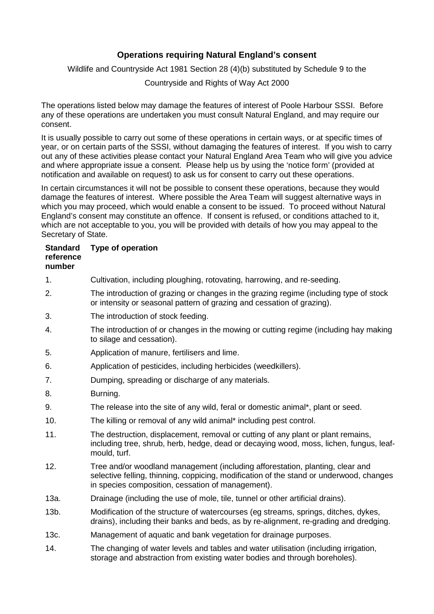## **Operations requiring Natural England's consent**

Wildlife and Countryside Act 1981 Section 28 (4)(b) substituted by Schedule 9 to the

Countryside and Rights of Way Act 2000

The operations listed below may damage the features of interest of Poole Harbour SSSI. Before any of these operations are undertaken you must consult Natural England, and may require our consent.

It is usually possible to carry out some of these operations in certain ways, or at specific times of year, or on certain parts of the SSSI, without damaging the features of interest. If you wish to carry out any of these activities please contact your Natural England Area Team who will give you advice and where appropriate issue a consent. Please help us by using the 'notice form' (provided at notification and available on request) to ask us for consent to carry out these operations.

In certain circumstances it will not be possible to consent these operations, because they would damage the features of interest. Where possible the Area Team will suggest alternative ways in which you may proceed, which would enable a consent to be issued. To proceed without Natural England's consent may constitute an offence. If consent is refused, or conditions attached to it, which are not acceptable to you, you will be provided with details of how you may appeal to the Secretary of State.

## **Standard reference number Type of operation**

- 1. Cultivation, including ploughing, rotovating, harrowing, and re-seeding.
- 2. The introduction of grazing or changes in the grazing regime (including type of stock or intensity or seasonal pattern of grazing and cessation of grazing).
- 3. The introduction of stock feeding.
- 4. The introduction of or changes in the mowing or cutting regime (including hay making to silage and cessation).
- 5. Application of manure, fertilisers and lime.
- 6. Application of pesticides, including herbicides (weedkillers).
- 7. Dumping, spreading or discharge of any materials.
- 8. Burning.
- 9. The release into the site of any wild, feral or domestic animal\*, plant or seed.
- 10. The killing or removal of any wild animal\* including pest control.
- 11. The destruction, displacement, removal or cutting of any plant or plant remains, including tree, shrub, herb, hedge, dead or decaying wood, moss, lichen, fungus, leafmould, turf.
- 12. Tree and/or woodland management (including afforestation, planting, clear and selective felling, thinning, coppicing, modification of the stand or underwood, changes in species composition, cessation of management).
- 13a. Drainage (including the use of mole, tile, tunnel or other artificial drains).
- 13b. Modification of the structure of watercourses (eg streams, springs, ditches, dykes, drains), including their banks and beds, as by re-alignment, re-grading and dredging.
- 13c. Management of aquatic and bank vegetation for drainage purposes.
- 14. The changing of water levels and tables and water utilisation (including irrigation, storage and abstraction from existing water bodies and through boreholes).